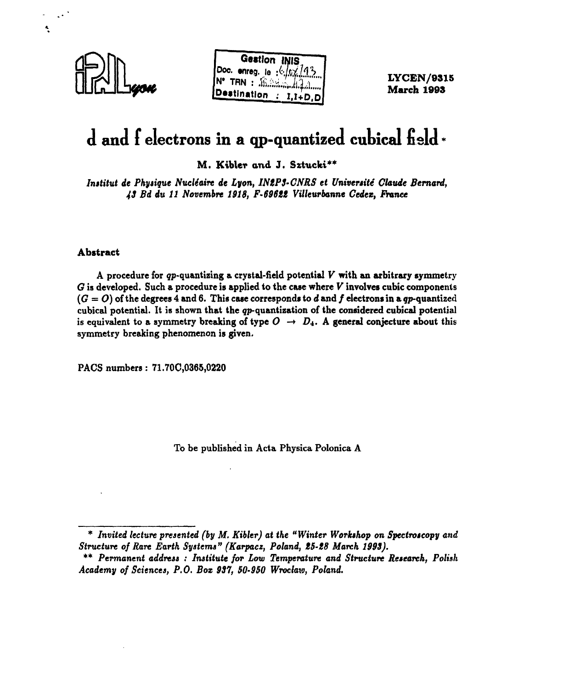

Ń



**LYCEN/9S15 March 1093**

# **d and i electrons in a qp-quantized cubical field \***

**M. Kibler and J. Sztucki\*\*** 

*Institut de Physique Nucléaire de Lyon, INtPS-CNRS et Université Claude Bernard, 43 Bd du 11 Novembre 1918, F-69622 Villeurbanne Cedex, France*

#### **Abstract**

A procedure for gp-quantizing a crystal-field potential *V* with an arbitrary symmetry *G* is developed. Such a procedure is applied to the case where *V* involves cubic components  $(G = O)$  of the degrees 4 and 6. This case corresponds to d and f electrons in a q<sub>p</sub>-quantized cubical potential. It is shown that the gp-quantization of the considered cubical potential is equivalent to a symmetry breaking of type  $O \rightarrow D_4$ . A general conjecture about this symmetry breaking phenomenon is given.

PACS numbers : 71.700,0365,0220

To be published in Acta Physica Polonica A

<sup>\*</sup> *Invited lecture presented (by M. Kibler) at the "Winter Workshop on Spectroscopy and Structure of Rare Earth Systems" (Karpacz, Poland, Ib-IB March 1993).*

*<sup>\*\*</sup> Permanent address : Institute for Low Temperature and Structure Research, Polish Academy of Sciences, P.O. Box 937, 50-950 Wroclaw, Poland.*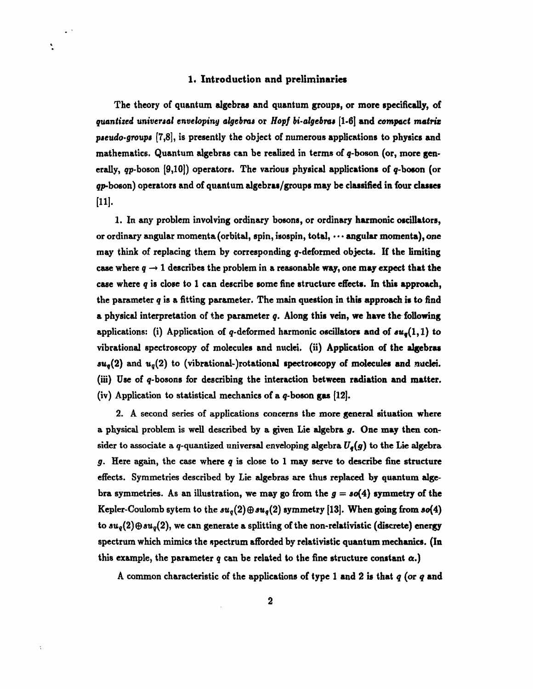#### **1. Introduction and preliminaries**

 $\ddot{\cdot}$ 

**The theory of quantum algebras and quantum groups, or more specifically, of** *quantized universal enveloping algebra»* **or** *Hopf bi-algebra»* **[1-6] and** *compact matrix paeudo-groups* **[7,8], is presently the object of numerous applications to physics and mathematics. Quantum algebras can be realized in terms of g-boson (or, more generally, qrp-boson [9,10]) operators. The various physical applications of g-boson (or gp-boson) operators and of quantum algebras/groups may be classified in four classes**  $[11]$ .

**1. In any problem involving ordinary bosons, or ordinary harmonic oscillators, or ordinary angular momenta (orbital, spin, isospin, total, • • • angular momenta), one may think of replacing them by corresponding ç-deformed objects. If the limiting** case where  $q \rightarrow 1$  describes the problem in a reasonable way, one may expect that the **case where** *q* **is close to 1 can describe some fine structure effects. In this approach, the parameter** *q* **is a fitting parameter. The main question in this approach is to find a physical interpretation of the parameter** *q.* **Along this vein, we have the following** applications: (i) Application of  $q$ -deformed harmonic oscillators and of  $su_q(1,1)$  to **vibrational spectroscopy of molecules and nuclei, (ii) Application of the algebras**  $su_q(2)$  and  $u_q(2)$  to (vibrational-)rotational spectroscopy of molecules and nuclei. (iii) Use of q-bosons for describing the interaction between radiation and matter. **(iv) Application to statistical mechanics of a q-boson gas [12].**

**2. A second series of applications concerns the more general situation where a physical problem is well described by a given Lie algebra** *g.* **One may then consider to associate a q-quantized universal enveloping algebra** *Uq(g)* **to the Lie algebra** *g.* **Here again, the case where** *q* **is close to 1 may serve to describe fine structure effects. Symmetries described by Lie algebras are thus replaced by quantum alge**bra symmetries. As an illustration, we may go from the  $g = s\sigma(4)$  symmetry of the Kepler-Coulomb sytem to the  $su_q(2) \oplus su_q(2)$  symmetry [13]. When going from  $so(4)$ **to au9(2)© 3iig(2), we can generate a splitting of the non-relativistic (discrete) energy spectrum which mimics the spectrum afforded by relativistic quantum mechanics. (In** this example, the parameter  $q$  can be related to the fine structure constant  $\alpha$ .)

**A common characteristic of the applications of type 1 and 2 is that** *q* **(or** *q* **and**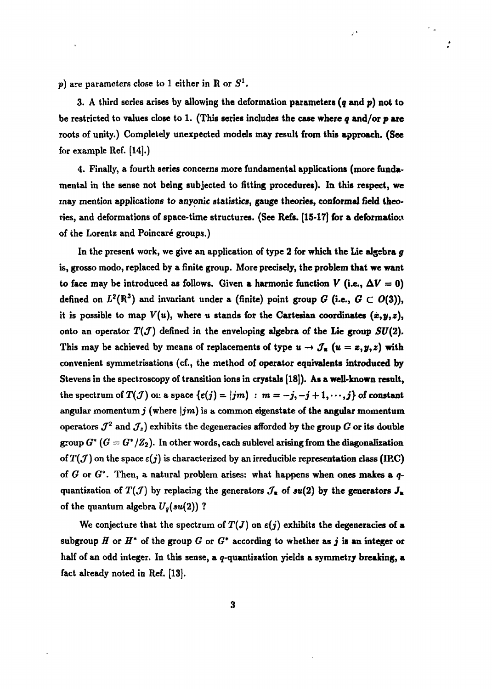$p)$  are parameters close to 1 either in  $R$  or  $S^1$ .

**3. A third series arises by allowing the deformation parameters** *(q* **and** *p)* **not to be restricted to values close to 1. (This series includes the case where** *q* **and/or** *p* **are roots of unity.) Completely unexpected models may result from this approach. (See for example Ref. [14].)**

وأرا

ż

**4. Finally, a fourth series concerns more fundamental applications (more fundamental in the sense not being subjected to fitting procedures). In this respect, we may mention applications to anyonic statistics, gauge theories, conformai field theories, and deformations of space-time structures. (See Refs. [15-17] for a deformation of the Lorentz and Poincaré groups.)**

**In the present work, we give an application of type 2 for which the Lie algebra** *g* **is, grosso modo, replaced by a finite group. More precisely, the problem that we want** to face may be introduced as follows. Given a harmonic function  $V$  (i.e.,  $\Delta V = 0$ ) defined on  $L^2(\mathbb{R}^3)$  and invariant under a (finite) point group  $G$  (i.e.,  $G \subset O(3)$ ), it is possible to map  $V(u)$ , where *u* stands for the Cartesian coordinates  $(x, y, z)$ , onto an operator  $T(\mathcal{J})$  defined in the enveloping algebra of the Lie group  $SU(2)$ . This may be achieved by means of replacements of type  $u \rightarrow \mathcal{J}_u$   $(u = x, y, z)$  with **convenient symmetrisations (cf., the method of operator equivalents introduced by Stevens in the spectroscopy of transition ions in crystals [18]). As a well-known result,** the spectrum of  $T(\mathcal{J})$  on a space  $\{\epsilon(j) = |jm\}$ :  $m = -j, -j + 1, \dots, j\}$  of constant **angular momentum j (where** *\jm)* **is a common eigenstate of the angular momentum**  $\sigma$  *operators*  $J^2$  and  $J_z$  *exhibits the degeneracies afforded by the group*  $G$  *or its double* group  $G^*$  ( $G = G^*/\mathbb{Z}_2$ ). In other words, each sublevel arising from the diagonalization of  $T(f)$  on the space  $\varepsilon(j)$  is characterized by an irreducible representation class (IRC) **of** *G* **or** *G\*.* **Then, a natural problem arises: what happens when ones makes a** *q*quantization of  $T(\mathcal{J})$  by replacing the generators  $\mathcal{J}_*$  of  $su(2)$  by the generators  $J_*$ **of the quantum algebra** *Uq(su(2))* **?**

We conjecture that the spectrum of  $T(J)$  on  $\varepsilon(j)$  exhibits the degeneracies of a subgroup  $H$  or  $H^*$  of the group  $G$  or  $G^*$  according to whether as  $j$  is an integer or half of an odd integer. In this sense, a *q*-quantization yields a symmetry breaking, a **fact already noted in Ref. [13].**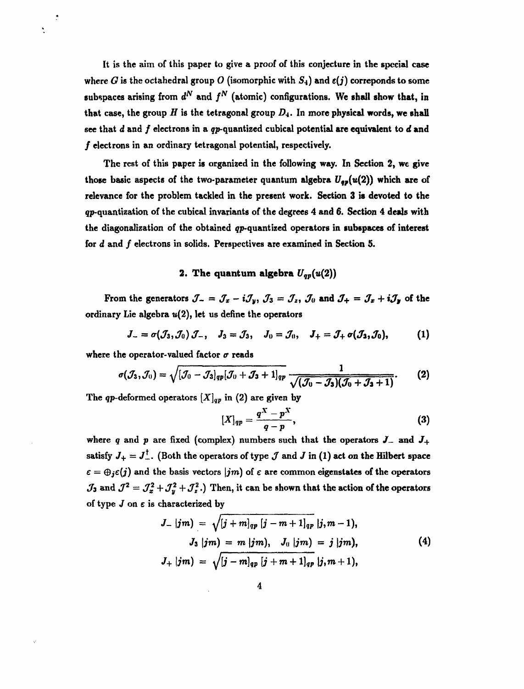It is the aim of this paper to give a proof of this conjecture in the special case where *G* is the octahedral group *O* (isomorphic with  $S_4$ ) and  $\varepsilon(j)$  correponds to some subspaces arising from  $d^N$  and  $f^N$  (atomic) configurations. We shall show that, in that case, the group  $H$  is the tetragonal group  $D_4$ . In more physical words, we shall see that *d* and / electrons in a gp-quantized cubical potential are equivalent to *d* and / electrons in an ordinary tetragonal potential, respectively.

The rest of this paper is organized in the following way. In Section 2, we give those basic aspects of the two-parameter quantum algebra  $U_{q,p}(u(2))$  which are of relevance for the problem tackled in the present work. Section 3 is devoted to the  $qp$ -quantization of the cubical invariants of the degrees 4 and 6. Section 4 deals with the diagonalization of the obtained  $qp$ -quantized operators in subspaces of interest for *d* and *f* electrons in solids. Perspectives are examined in Section 5.

## 2. The quantum **algebra** *Uqp(u(2))*

From the generators  $J_{-} = J_{x} - iJ_{y}$ ,  $J_{3} = J_{z}$ ,  $J_{0}$  and  $J_{+} = J_{x} + iJ_{y}$  of the ordinary Lie algebra  $u(2)$ , let us define the operators

$$
J_{-} = \sigma(\mathcal{J}_{3}, \mathcal{J}_{0}) \mathcal{J}_{-}, \quad J_{3} = \mathcal{J}_{3}, \quad J_{0} = \mathcal{J}_{0}, \quad J_{+} = \mathcal{J}_{+} \sigma(\mathcal{J}_{3}, \mathcal{J}_{0}), \quad (1)
$$

where the operator-valued factor  $\sigma$  reads

ÿ

$$
\sigma(\mathcal{J}_3, \mathcal{J}_0) = \sqrt{[\mathcal{J}_0 - \mathcal{J}_3]_{qp}[\mathcal{J}_0 + \mathcal{J}_3 + 1]_{qp}} \frac{1}{\sqrt{(\mathcal{J}_0 - \mathcal{J}_3)(\mathcal{J}_0 + \mathcal{J}_3 + 1)}}.
$$
 (2)

The qp-deformed operators  $[X]_{qp}$  in (2) are given by

$$
[X]_{qp}=\frac{q^X-p^X}{q-p},\qquad \qquad (3)
$$

where q and p are fixed (complex) numbers such that the operators  $J_-$  and  $J_+$ satisfy  $J_+ = J_-^{\dagger}$ . (Both the operators of type  $J$  and  $J$  in (1) act on the Hilbert space  $\epsilon = \bigoplus_j \epsilon(j)$  and the basis vectors  $\vert jm$  of  $\epsilon$  are common eigenstates of the operators  $J_3$  and  $J^2 = J_x^2 + J_y^2 + J_z^2$ .) Then, it can be shown that the action of the operators of type *J* on e is characterized by

$$
J_{-}|jm) = \sqrt{[j+m]_{qp} [j-m+1]_{qp} |j,m-1},
$$
  
\n
$$
J_{3}|jm) = m |jm), \quad J_{0}|jm) = j |jm),
$$
  
\n
$$
J_{+}|jm) = \sqrt{[j-m]_{qp} [j+m+1]_{qp} |j,m+1)},
$$
  
\n(4)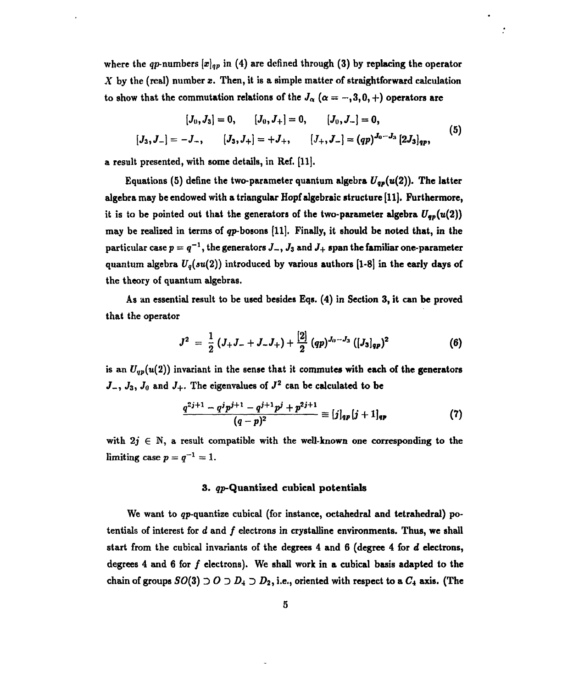where the qp-numbers  $[x]_{qp}$  in (4) are defined through (3) by replacing the operator *X* **by the (real) number** *x.* **Then, it is a simple matter of straightforward calculation** to show that the commutation relations of the  $J_\alpha$  ( $\alpha = -,3,0, +$ ) operators are

$$
[J_0, J_3] = 0, \t [J_0, J_+] = 0, \t [J_0, J_-] = 0,
$$
  

$$
[J_3, J_-] = -J_-, \t [J_3, J_+] = +J_+, \t [J_+, J_-] = (qp)^{J_0-J_3} [2J_3]_{qp}, \t (5)
$$

**a result presented, with some details, in Ref. [11].**

**Equations (5) define the two-parameter quantum algebra** *Uqp(u(2)).* **The latter algebra may be endowed with a triangular Hopf algebraic structure [H]. Furthermore,** it is to be pointed out that the generators of the two-parameter algebra  $U_{\sigma p}(u(2))$ **may be realized in terms of qp-bosons [H]. Finally, it should be noted that, in the**  ${\bf p}$ articular case  $p=q^{-1},$  the generators  $J_-,$   $J_3$  and  $J_+$  span the familiar one-parameter **quantum algebra** *Uq(su(2))* **introduced by various authors [1-8] in the early days of the theory of quantum algebras.**

**As an essential result to be used besides Eqs. (4) in Section 3, it can be proved that the operator**

$$
J^{2} = \frac{1}{2} (J_{+}J_{-} + J_{-}J_{+}) + \frac{[2]}{2} (qp)^{J_{0}-J_{3}} ([J_{3}]_{qp})^{2}
$$
 (6)

is an  $U_{qp}(u(2))$  invariant in the sense that it commutes with each of the generators  $J_-, J_3, J_0$  and  $J_+.$  The eigenvalues of  $J^2$  can be calculated to be

$$
\frac{q^{2j+1}-q^{j}p^{j+1}-q^{j+1}p^{j}+p^{2j+1}}{(q-p)^2}\equiv [j]_{qp}[j+1]_{qp} \qquad (7)
$$

with  $2j \in \mathbb{N}$ , a result compatible with the well-known one corresponding to the  $\lim$ iting case  $p = q^{-1} = 1$ .

#### **3. çp-Quantized cubical potentials**

**We want to gp-quantize cubical (for instance, octahedral and tetrahedral) potentials of interest for** *d* **and / electrons in crystalline environments. Thus, we shall start from the cubical invariants of the degrees 4 and 6 (degree 4 for** *d* **electrons, degrees 4 and 6 for / electrons). We shall work in a cubical basis adapted to the** chain of groups  $SO(3) \supset O \supset D_4 \supset D_2$ , i.e., oriented with respect to a  $C_4$  axis. (The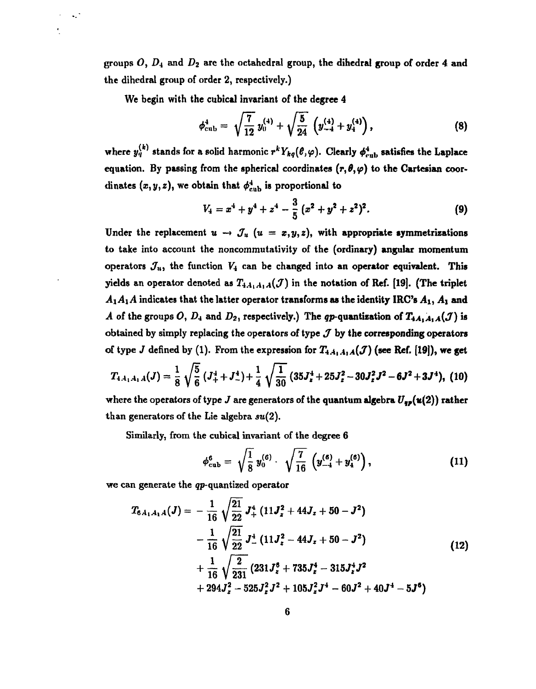groups *O, Di* and *D^* are the octahedral group, the dihedral group of order 4 and the dihedral group of order 2, respectively.)

We begin with the cubical invariant of the degree 4

 $\ddotsc$ 

$$
\phi_{\rm cub}^4 = \sqrt{\frac{7}{12}} y_0^{(4)} + \sqrt{\frac{5}{24}} \left( y_{-4}^{(4)} + y_4^{(4)} \right), \qquad (8)
$$

where  $y_q^{(k)}$  stands for a solid harmonic  $r^k Y_{kq}(\ell, \varphi)$ . Clearly  $\phi_{\text{cub}}^4$  satisfies the Laplace equation. By passing from the spherical coordinates  $(r, \theta, \varphi)$  to the Cartesian coordinates  $(x, y, z)$ , we obtain that  $\phi_{\text{cub}}^4$  is proportional to

$$
V_4 = x^4 + y^4 + z^4 - \frac{3}{5} (x^2 + y^2 + z^2)^2.
$$
 (9)

Under the replacement  $u \rightarrow \mathcal{J}_u$   $(u = x, y, z)$ , with appropriate symmetrizations to take into account the noncommutativity of the (ordinary) angular momentum operators  $J_u$ , the function  $V_4$  can be changed into an operator equivalent. This yields an operator denoted as  $T_{4A_1A_2A}(\mathcal{J})$  in the notation of Ref. [19]. (The triplet  $A_1A_1A$  indicates that the latter operator transforms as the identity IRC's  $A_1, A_1$  and *A* of the groups O,  $D_4$  and  $D_2$ , respectively.) The qp-quantization of  $T_{4A_1A_1A}(J)$  is obtained by simply replacing the operators of type  $J$  by the corresponding operators of type *J* defined by (1). From the expression for  $T_{4A_1A_1A}(\mathcal{J})$  (see Ref. [19]), we get

$$
T_{4,4,4,4}(J) = \frac{1}{8}\sqrt{\frac{5}{6}}\left(J_+^4 + J_-^4\right) + \frac{1}{4}\sqrt{\frac{1}{30}}\left(35J_z^4 + 25J_z^2 - 30J_z^2J^2 - 6J^2 + 3J^4\right), (10)
$$

where the operators of type *J* are generators of the quantum algebra  $U_{\sigma p}(u(2))$  rather than generators of the Lie algebra *su(2).*

Similarly, from the cubical invariant of the degree 6

$$
\phi_{\rm cub}^6 = \sqrt{\frac{1}{8}} y_0^{(6)} \cdot \sqrt{\frac{7}{16}} \left( y_{-4}^{(6)} + y_4^{(6)} \right), \qquad (11)
$$

we can generate the gp-quantized operator

$$
T_{6A_1A_1A}(J) = -\frac{1}{16} \sqrt{\frac{21}{22}} J_+^4 (11J_z^2 + 44J_z + 50 - J^2)
$$
  

$$
-\frac{1}{16} \sqrt{\frac{21}{22}} J_-^4 (11J_z^2 - 44J_z + 50 - J^2)
$$
  

$$
+\frac{1}{16} \sqrt{\frac{2}{231}} (231J_z^6 + 735J_z^4 - 315J_z^4J^2
$$
  

$$
+ 294J_z^2 - 525J_z^2J^2 + 105J_z^2J^4 - 60J^2 + 40J^4 - 5J^6)
$$
 (12)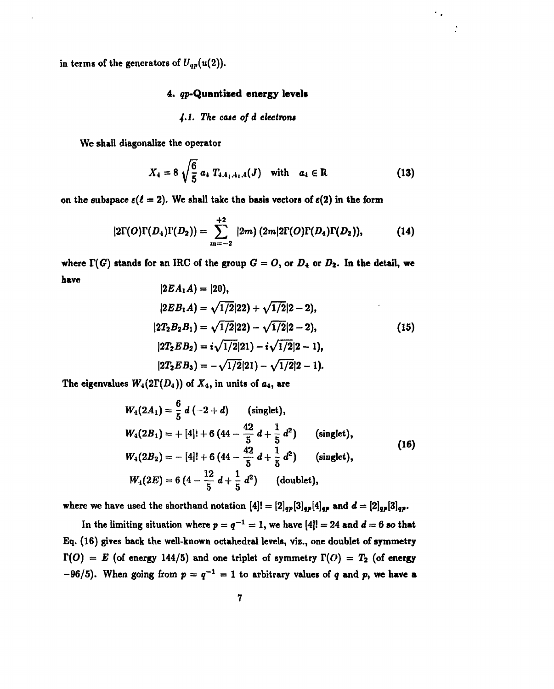in terms of the generators of  $U_{qp}(u(2))$ .

### 4. *qp*-Quantized energy levels

#### *4-1. The cut of d electron\**

We shall diagonalize the operator

$$
X_4 = 8 \sqrt{\frac{6}{5}} a_4 T_{4A_1A_1A}(J) \text{ with } a_4 \in \mathbb{R}
$$
 (13)

 $\sim$ 

on the subspace  $\varepsilon(\ell = 2)$ . We shall take the basis vectors of  $\varepsilon(2)$  in the form

$$
|2\Gamma(O)\Gamma(D_4)\Gamma(D_2)) = \sum_{m=-2}^{+2} |2m\rangle (2m|2\Gamma(O)\Gamma(D_4)\Gamma(D_2)), \qquad (14)
$$

where  $\Gamma(G)$  stands for an IRC of the group  $G = O$ , or  $D_4$  or  $D_2$ . In the detail, we have  $|9E A, A| = |90|$ 

$$
|2EA_1A| = |20\rangle,
$$
  
\n
$$
|2EB_1A| = \sqrt{1/2}|22\rangle + \sqrt{1/2}|2-2\rangle,
$$
  
\n
$$
|2T_2B_2B_1| = \sqrt{1/2}|22\rangle - \sqrt{1/2}|2-2\rangle,
$$
  
\n
$$
|2T_2EB_2| = i\sqrt{1/2}|21\rangle - i\sqrt{1/2}|2-1\rangle,
$$
  
\n
$$
|2T_2EB_3| = -\sqrt{1/2}|21\rangle - \sqrt{1/2}|2-1\rangle.
$$
  
\n(15)

The eigenvalues  $W_4(2\Gamma(D_4))$  of  $X_4$ , in units of  $a_4$ , are

$$
W_4(2A_1) = \frac{6}{5} d (-2 + d) \qquad \text{(singlet)},
$$
  
\n
$$
W_4(2B_1) = + [4]! + 6 (44 - \frac{42}{5} d + \frac{1}{5} d^2) \qquad \text{(singlet)},
$$
  
\n
$$
W_4(2B_2) = - [4]! + 6 (44 - \frac{42}{5} d + \frac{1}{5} d^2) \qquad \text{(singlet)},
$$
  
\n
$$
W_4(2E) = 6 (4 - \frac{12}{5} d + \frac{1}{5} d^2) \qquad \text{(doublet)},
$$
\n(16)

where we have used the shorthand notation  $[4]! = [2]_{qp}[3]_{qp}[4]_{qp}$  and  $d = [2]_{qp}[3]_{qp}$ .

In the limiting situation where  $p = q^{-1} = 1$ , we have  $[4]! = 24$  and  $d = 6$  so that Eq. (16) gives back the well-known octahedral levels, viz., one doublet of symmetry  $\Gamma(O) = E$  (of energy 144/5) and one triplet of symmetry  $\Gamma(O) = T_2$  (of energy  $-96/5$ ). When going from  $p = q^{-1} = 1$  to arbitrary values of q and p, we have a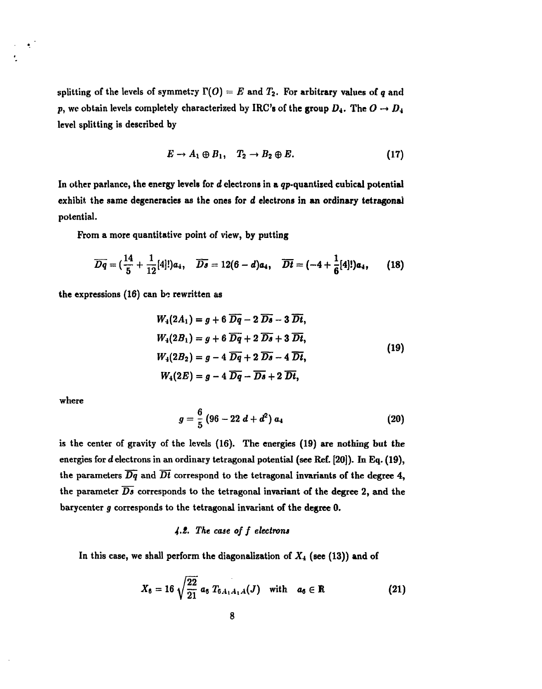splitting of the levels of symmetry  $\Gamma(O) = E$  and  $T_2$ . For arbitrary values of q and  $p$ , we obtain levels completely characterized by IRC's of the group  $D_4$ . The  $O \rightarrow D_4$ **level splitting is described by**

$$
E \to A_1 \oplus B_1, \quad T_2 \to B_2 \oplus E. \tag{17}
$$

In other parlance, the energy levels for *d* electrons in a qp-quantized cubical potential **exhibit, the same degeneracies as the ones for** *d* **electrons in an ordinary tetragonal potential.**

**From a more quantitative point of view, by putting**

$$
\overline{Dq} = (\frac{14}{5} + \frac{1}{12}[4]!)a_4, \quad \overline{Ds} = 12(6-d)a_4, \quad \overline{Dt} = (-4 + \frac{1}{6}[4])a_4, \quad (18)
$$

**the expressions (16) can be rewritten as**

$$
W_4(2A_1) = g + 6 \overline{Dq} - 2 \overline{Ds} - 3 \overline{Dt},
$$
  
\n
$$
W_4(2B_1) = g + 6 \overline{Dq} + 2 \overline{Ds} + 3 \overline{Dt},
$$
  
\n
$$
W_4(2B_2) = g - 4 \overline{Dq} + 2 \overline{Ds} - 4 \overline{Dt},
$$
  
\n
$$
W_4(2E) = g - 4 \overline{Dq} - \overline{Ds} + 2 \overline{Dt},
$$
\n(19)

**where**

٠

$$
g=\frac{6}{5}\left(96-22\;d+d^2\right)a_4\qquad \qquad (20)
$$

**is the center of gravity of the levels (16). The energies (19) are nothing but the energies for** *d* **electrons in an ordinary tetragonal potential (see Ref. [20]). In Eq. (19), the parameters** *Dq* **and** *Dt* **correspond to the tetragonal invariants of the degree 4, the parameter** *Ds* **corresponds to the tetragonal invariant of the degree 2, and the barycenter** *g* **corresponds to the tetragonal invariant of the degree 0.**

## *4-i. The case of f electrons*

**In this case, we shall perform the diagonalization of X4 (see (13)) and of**

$$
X_6 = 16 \sqrt{\frac{22}{21}} a_6 T_{6A_1A_1A}(J) \quad \text{with} \quad a_6 \in \mathbb{R}
$$
 (21)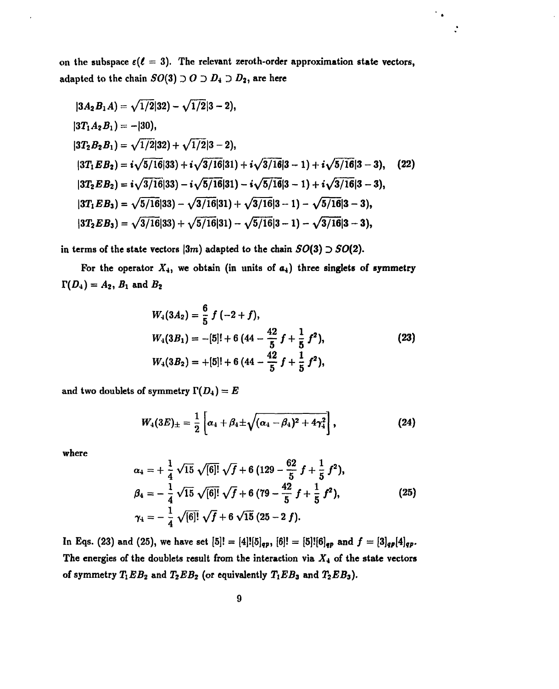on the subspace  $\varepsilon(\ell = 3)$ . The relevant zeroth-order approximation state vectors, adapted to the chain  $SO(3) \supset O \supset D_4 \supset D_2$ , are here

 $\bullet$ 

$$
|3A_2B_1A\rangle = \sqrt{1/2}|32\rangle - \sqrt{1/2}|3-2\rangle,
$$
  
\n
$$
|3T_1A_2B_1\rangle = -|30\rangle,
$$
  
\n
$$
|3T_2B_2B_1\rangle = \sqrt{1/2}|32\rangle + \sqrt{1/2}|3-2\rangle,
$$
  
\n
$$
|3T_1EB_2\rangle = i\sqrt{5/16}|33\rangle + i\sqrt{3/16}|31\rangle + i\sqrt{3/16}|3-1\rangle + i\sqrt{5/16}|3-3\rangle,
$$
  
\n
$$
|3T_2EB_2\rangle = i\sqrt{3/16}|33\rangle - i\sqrt{5/16}|31\rangle - i\sqrt{5/16}|3-1\rangle + i\sqrt{3/16}|3-3\rangle,
$$
  
\n
$$
|3T_1EB_3\rangle = \sqrt{5/16}|33\rangle - \sqrt{3/16}|31\rangle + \sqrt{3/16}|3-1\rangle - \sqrt{5/16}|3-3\rangle,
$$
  
\n
$$
|3T_2EB_3\rangle = \sqrt{3/16}|33\rangle + \sqrt{5/16}|31\rangle - \sqrt{5/16}|3-1\rangle - \sqrt{3/16}|3-3\rangle,
$$

in terms of the state vectors  $|3m|$  adapted to the chain  $SO(3) \supset SO(2)$ .

For the operator  $X_4$ , we obtain (in units of  $a_4$ ) three singlets of symmetry  $\Gamma(D_4) = A_2, B_1$  and  $B_2$ 

$$
W_4(3A_2) = \frac{6}{5} f(-2+f),
$$
  
\n
$$
W_4(3B_1) = -[5]! + 6 (44 - \frac{42}{5} f + \frac{1}{5} f^2),
$$
  
\n
$$
W_4(3B_2) = +[5]! + 6 (44 - \frac{42}{5} f + \frac{1}{5} f^2),
$$
\n(23)

and two doublets of symmetry  $\Gamma(D_4) = E$ 

$$
W_4(3E)_{\pm}=\frac{1}{2}\left[\alpha_4+\beta_4\pm\sqrt{(\alpha_4-\beta_4)^2+4\gamma_4^2}\right],
$$
 (24)

where

$$
\alpha_4 = + \frac{1}{4} \sqrt{15} \sqrt{6} \cdot 7 + 6 (129 - \frac{62}{5} f + \frac{1}{5} f^2),
$$
  
\n
$$
\beta_4 = - \frac{1}{4} \sqrt{15} \sqrt{6} \cdot 7 + 6 (79 - \frac{42}{5} f + \frac{1}{5} f^2),
$$
  
\n
$$
\gamma_4 = - \frac{1}{4} \sqrt{6} \cdot 7 + 6 \sqrt{15} (25 - 2 f).
$$
\n(25)

In Eqs. (23) and (25), we have set  $[5]! = [4]![5]_{qp}$ ,  $[6]! = [5]![6]_{qp}$  and  $f = [3]_{qp}[4]_{qp}$ . The energies of the doublets result from the interaction via  $X_4$  of the state vectors of symmetry  $T_1EB_2$  and  $T_2EB_2$  (or equivalently  $T_1EB_3$  and  $T_2EB_3$ ).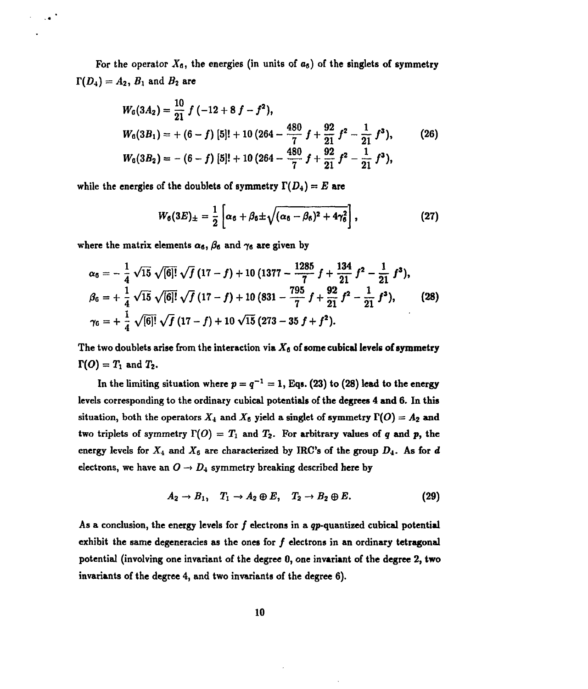For the operator  $X_6$ , the energies (in units of  $a_6$ ) of the singlets of symmetry  $T(D_4) = A_2, B_1$  and  $B_2$  are

$$
W_6(3A_2) = \frac{10}{21} f(-12 + 8 f - f^2),
$$
  
\n
$$
W_6(3B_1) = + (6 - f) [5]! + 10 (264 - \frac{480}{7} f + \frac{92}{21} f^2 - \frac{1}{21} f^3),
$$
\n
$$
W_6(3B_2) = - (6 - f) [5]! + 10 (264 - \frac{480}{7} f + \frac{92}{21} f^2 - \frac{1}{21} f^3),
$$
\n
$$
(26)
$$

while the energies of the doublets of symmetry  $\Gamma(D_4)=E$  are

$$
W_6(3E)_{\pm}=\frac{1}{2}\left[\alpha_6+\beta_6\pm\sqrt{(\alpha_6-\beta_6)^2+4\gamma_6^2}\right],
$$
 (27)

where the matrix elements  $\alpha_6$ ,  $\beta_6$  and  $\gamma_6$  are given by

 $\overline{\mathcal{A}}$ 

$$
\alpha_6 = -\frac{1}{4} \sqrt{15} \sqrt{6} \cdot 7 \sqrt{f(17 - f)} + 10 (1377 - \frac{1285}{7} f + \frac{134}{21} f^2 - \frac{1}{21} f^3),
$$
  
\n
$$
\beta_6 = +\frac{1}{4} \sqrt{15} \sqrt{6} \cdot 7 \sqrt{f(17 - f)} + 10 (831 - \frac{795}{7} f + \frac{92}{21} f^2 - \frac{1}{21} f^3),
$$
 (28)  
\n
$$
\gamma_6 = +\frac{1}{4} \sqrt{6} \cdot 7 \sqrt{f(17 - f)} + 10 \sqrt{15} (273 - 35 f + f^2).
$$

The two doublets arise from the interaction via  $X_6$  of some cubical levels of symmetry  $T(O) = T_1$  and  $T_2$ .

In the limiting situation where  $p = q^{-1} = 1$ , Eqs. (23) to (28) lead to the energy **levels corresponding to the ordinary cubical potentials of the degrees 4 and 6. In this** situation, both the operators  $X_4$  and  $X_6$  yield a singlet of symmetry  $\Gamma(O) = A_2$  and two triplets of symmetry  $\Gamma(O) = T_1$  and  $T_2$ . For arbitrary values of *q* and *p*, the energy levels for  $X_4$  and  $X_6$  are characterized by IRC's of the group  $D_4$ . As for  $d$ electrons, we have an  $O \rightarrow D_4$  symmetry breaking described here by

$$
A_2 \to B_1, \quad T_1 \to A_2 \oplus E, \quad T_2 \to B_2 \oplus E. \tag{29}
$$

**As a conclusion, the energy levels for / electrons in a gp-quantized cubical potential exhibit the same degeneracies as the ones for / electrons in an ordinary tetragonal potential (involving one invariant of the degree 0, one invariant of the degree 2, two invariants of the degree 4, and two invariants of the degree 6).**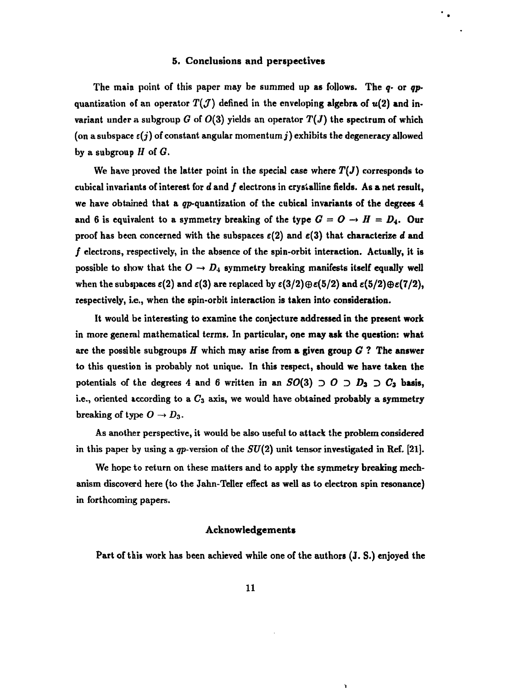#### **5.** Conclusions **and perspectives**

٠.

The main point of this paper may be summed up as follows. The *q-* or *qp*quantization of an operator  $T(\mathcal{J})$  defined in the enveloping algebra of  $u(2)$  and invariant under a subgroup G of  $O(3)$  yields an operator  $T(J)$  the spectrum of which (on a subspace  $\varepsilon(j)$  of constant angular momentum j) exhibits the degeneracy allowed by a subgroup *H* of *G.*

We have proved the latter point in the special case where  $T(J)$  corresponds to cubical invariants of interest for d and f electrons in crystalline fields. As a net result, we have obtained that a çp-quantization of the cubical **invariants of the degrees 4** and 6 is equivalent to a symmetry breaking of the type  $G = O \rightarrow H = D_4$ . Our proof has been concerned with the subspaces  $\varepsilon(2)$  and  $\varepsilon(3)$  that characterize d and  $f$  electrons, respectively, in the absence of the spin-orbit interaction. Actually, it is possible to show that the  $O \rightarrow D_4$  symmetry breaking manifests itself equally well when the subspaces  $\varepsilon(2)$  and  $\varepsilon(3)$  are replaced by  $\varepsilon(3/2)\oplus\varepsilon(5/2)$  and  $\varepsilon(5/2)\oplus\varepsilon(7/2)$ , respectively, i.e., when the spin-orbit interaction is **taken** into consideration.

It would be interesting to examine the conjecture **addressed** in **the present work** in more general mathematical terms. In particular, **one may ask the question: what** are the possible subgroups *H* which may arise from **a given group** *G* **? The answer** to this question is probably not unique. In **this respect, should we have taken the** potentials of the degrees 4 and 6 written in an  $SO(3) \supset O \supset D_3 \supset C_3$  basis, i.e., oriented according to a *Cs* axis, we would have obtained probably a symmetry breaking of type  $O \rightarrow D_3$ .

As another perspective, it would be also useful to attack the problem considered in this paper by using a qp-version of the *SU(2)* unit tensor investigated in Ref. [21].

We hope to return on these matters and to apply the symmetry breaking mechanism discoverd here (to the Jahn-Teller effect as well as to electron spin resonance) in forthcoming papers.

#### **Acknowledgements**

Part of this work has been achieved while one of the authors (J. S.) enjoyed the